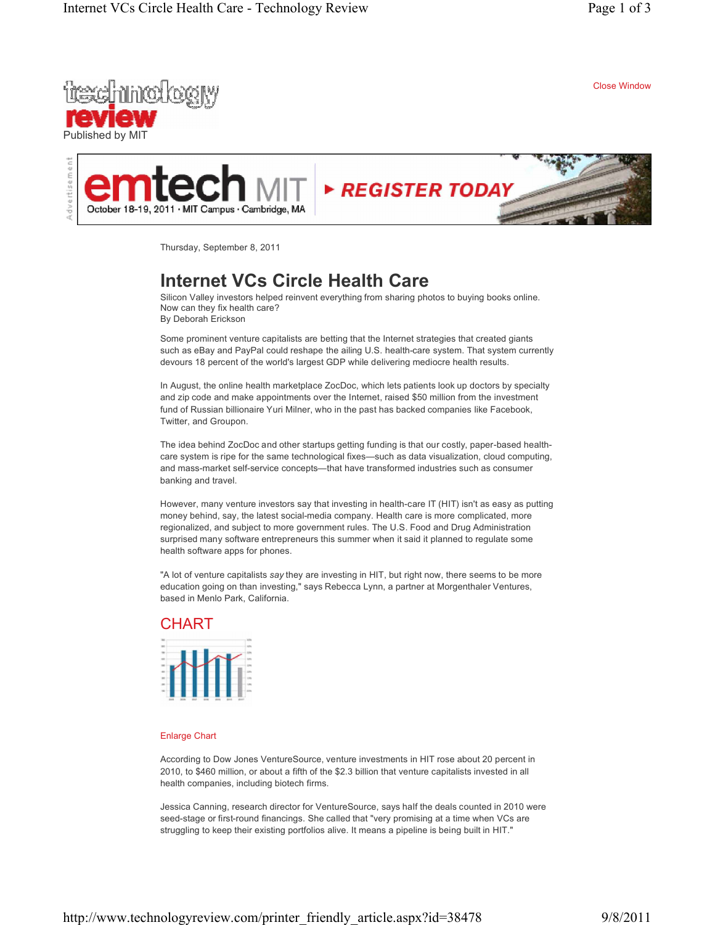

Close Window



Thursday, September 8, 2011

## **Internet VCs Circle Health Care**

Silicon Valley investors helped reinvent everything from sharing photos to buying books online. Now can they fix health care? By Deborah Erickson

Some prominent venture capitalists are betting that the Internet strategies that created giants such as eBay and PayPal could reshape the ailing U.S. health-care system. That system currently devours 18 percent of the world's largest GDP while delivering mediocre health results.

In August, the online health marketplace ZocDoc, which lets patients look up doctors by specialty and zip code and make appointments over the Internet, raised \$50 million from the investment fund of Russian billionaire Yuri Milner, who in the past has backed companies like Facebook, Twitter, and Groupon.

The idea behind ZocDoc and other startups getting funding is that our costly, paper-based healthcare system is ripe for the same technological fixes—such as data visualization, cloud computing, and mass-market self-service concepts-that have transformed industries such as consumer banking and travel.

However, many venture investors say that investing in health-care IT (HIT) isn't as easy as putting money behind, say, the latest social-media company. Health care is more complicated, more regionalized, and subject to more government rules. The U.S. Food and Drug Administration surprised many software entrepreneurs this summer when it said it planned to regulate some health software apps for phones.

"A lot of venture capitalists *say* they are investing in HIT, but right now, there seems to be more education going on than investing," says Rebecca Lynn, a partner at Morgenthaler Ventures, based in Menlo Park, California.

## **CHART**

## Enlarge Chart

According to Dow Jones VentureSource, venture investments in HIT rose about 20 percent in 2010, to \$460 million, or about a fifth of the \$2.3 billion that venture capitalists invested in all health companies, including biotech firms.

Jessica Canning, research director for VentureSource, says half the deals counted in 2010 were seed-stage or first-round financings. She called that "very promising at a time when VCs are struggling to keep their existing portfolios alive. It means a pipeline is being built in HIT."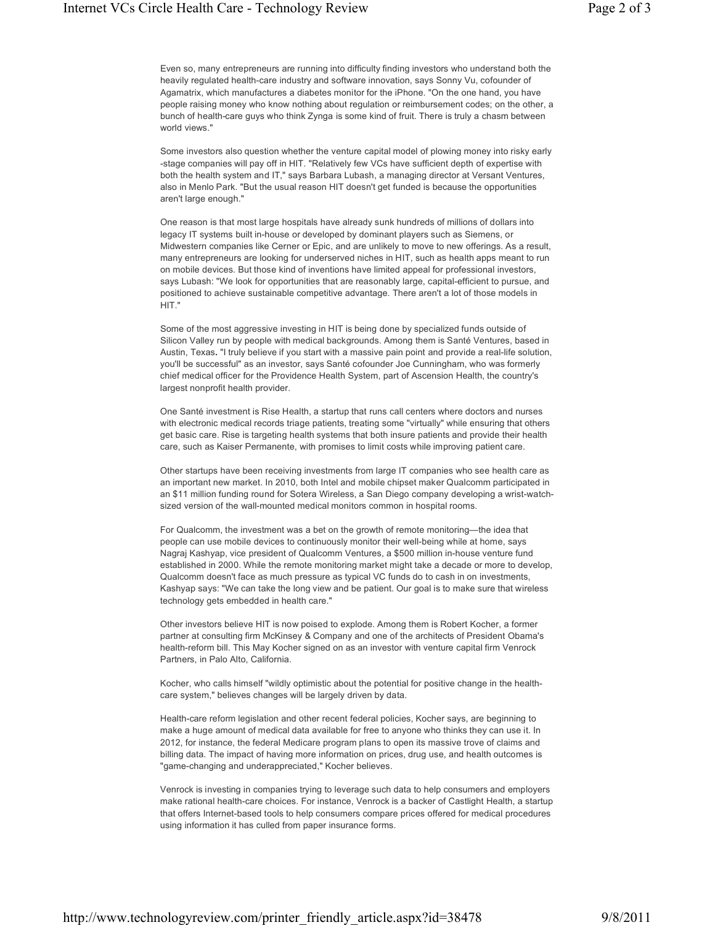Even so, many entrepreneurs are running into difficulty finding investors who understand both the heavily regulated health-care industry and software innovation, says Sonny Vu, cofounder of Agamatrix, which manufactures a diabetes monitor for the iPhone. "On the one hand, you have people raising money who know nothing about regulation or reimbursement codes; on the other, a bunch of health-care guys who think Zynga is some kind of fruit. There is truly a chasm between world views."

Some investors also question whether the venture capital model of plowing money into risky early -stage companies will pay off in HIT. "Relatively few VCs have sufficient depth of expertise with both the health system and IT," says Barbara Lubash, a managing director at Versant Ventures, also in Menlo Park. "But the usual reason HIT doesn't get funded is because the opportunities aren't large enough."

One reason is that most large hospitals have already sunk hundreds of millions of dollars into legacy IT systems built in-house or developed by dominant players such as Siemens, or Midwestern companies like Cerner or Epic, and are unlikely to move to new offerings. As a result, many entrepreneurs are looking for underserved niches in HIT, such as health apps meant to run on mobile devices. But those kind of inventions have limited appeal for professional investors, says Lubash: "We look for opportunities that are reasonably large, capital-efficient to pursue, and positioned to achieve sustainable competitive advantage. There aren't a lot of those models in HIT."

Some of the most aggressive investing in HIT is being done by specialized funds outside of Silicon Valley run by people with medical backgrounds. Among them is Santé Ventures, based in Austin, Texas**.** "I truly believe if you start with a massive pain point and provide a real-life solution, you'll be successful" as an investor, says Santé cofounder Joe Cunningham, who was formerly chief medical officer for the Providence Health System, part of Ascension Health, the country's largest nonprofit health provider.

One Santé investment is Rise Health, a startup that runs call centers where doctors and nurses with electronic medical records triage patients, treating some "virtually" while ensuring that others get basic care. Rise is targeting health systems that both insure patients and provide their health care, such as Kaiser Permanente, with promises to limit costs while improving patient care.

Other startups have been receiving investments from large IT companies who see health care as an important new market. In 2010, both Intel and mobile chipset maker Qualcomm participated in an \$11 million funding round for Sotera Wireless, a San Diego company developing a wrist-watchsized version of the wall-mounted medical monitors common in hospital rooms.

For Qualcomm, the investment was a bet on the growth of remote monitoring—the idea that people can use mobile devices to continuously monitor their well-being while at home, says Nagraj Kashyap, vice president of Qualcomm Ventures, a \$500 million in-house venture fund established in 2000. While the remote monitoring market might take a decade or more to develop, Qualcomm doesn't face as much pressure as typical VC funds do to cash in on investments, Kashyap says: "We can take the long view and be patient. Our goal is to make sure that wireless technology gets embedded in health care."

Other investors believe HIT is now poised to explode. Among them is Robert Kocher, a former partner at consulting firm McKinsey & Company and one of the architects of President Obama's health-reform bill. This May Kocher signed on as an investor with venture capital firm Venrock Partners, in Palo Alto, California.

Kocher, who calls himself "wildly optimistic about the potential for positive change in the healthcare system," believes changes will be largely driven by data.

Health-care reform legislation and other recent federal policies, Kocher says, are beginning to make a huge amount of medical data available for free to anyone who thinks they can use it. In 2012, for instance, the federal Medicare program plans to open its massive trove of claims and billing data. The impact of having more information on prices, drug use, and health outcomes is "game-changing and underappreciated," Kocher believes.

Venrock is investing in companies trying to leverage such data to help consumers and employers make rational health-care choices. For instance, Venrock is a backer of Castlight Health, a startup that offers Internet-based tools to help consumers compare prices offered for medical procedures using information it has culled from paper insurance forms.